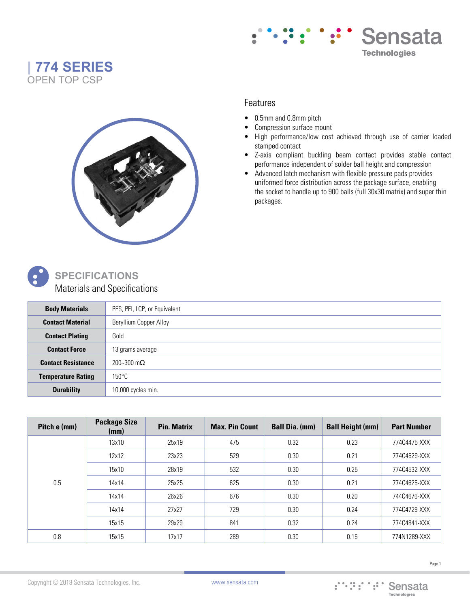





## Features

- 0.5mm and 0.8mm pitch
- Compression surface mount
- High performance/low cost achieved through use of carrier loaded stamped contact
- Z-axis compliant buckling beam contact provides stable contact performance independent of solder ball height and compression
- Advanced latch mechanism with flexible pressure pads provides uniformed force distribution across the package surface, enabling the socket to handle up to 900 balls (full 30x30 matrix) and super thin packages.



## **SPECIFICATIONS** Materials and Specifications

| <b>Body Materials</b>     | PES, PEI, LCP, or Equivalent |
|---------------------------|------------------------------|
| <b>Contact Material</b>   | Beryllium Copper Alloy       |
| <b>Contact Plating</b>    | Gold                         |
| <b>Contact Force</b>      | 13 grams average             |
| <b>Contact Resistance</b> | 200~300 m $\Omega$           |
| <b>Temperature Rating</b> | $150^{\circ}$ C              |
| <b>Durability</b>         | 10,000 cycles min.           |

| Pitch e (mm) | <b>Package Size</b><br>(mm) | <b>Pin. Matrix</b> | <b>Max. Pin Count</b> | <b>Ball Dia. (mm)</b> | <b>Ball Height (mm)</b> | <b>Part Number</b> |
|--------------|-----------------------------|--------------------|-----------------------|-----------------------|-------------------------|--------------------|
| 0.5          | 13x10                       | 25x19              | 475                   | 0.32                  | 0.23                    | 774C4475-XXX       |
|              | 12x12                       | 23x23              | 529                   | 0.30                  | 0.21                    | 774C4529-XXX       |
|              | 15x10                       | 28x19              | 532                   | 0.30                  | 0.25                    | 774C4532-XXX       |
|              | 14x14                       | 25x25              | 625                   | 0.30                  | 0.21                    | 774C4625-XXX       |
|              | 14x14                       | 26x26              | 676                   | 0.30                  | 0.20                    | 744C4676-XXX       |
|              | 14x14                       | 27x27              | 729                   | 0.30                  | 0.24                    | 774C4729-XXX       |
|              | 15x15                       | 29x29              | 841                   | 0.32                  | 0.24                    | 774C4841-XXX       |
| 0.8          | 15x15                       | 17x17              | 289                   | 0.30                  | 0.15                    | 774N1289-XXX       |

Copyright © 2018 Sensata Technologies, Inc. www.sensata.com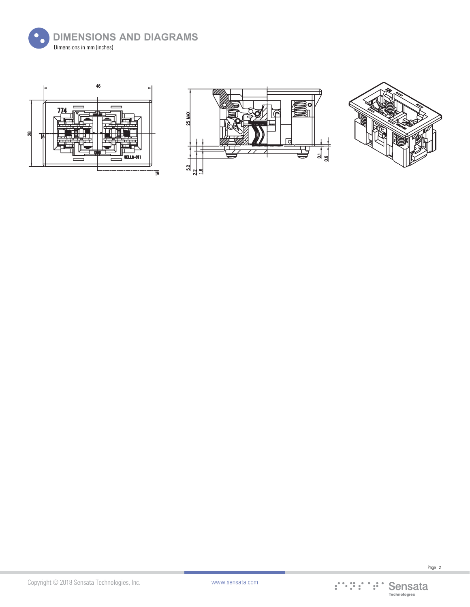







Copyright © 2018 Sensata Technologies, Inc.

Page 2